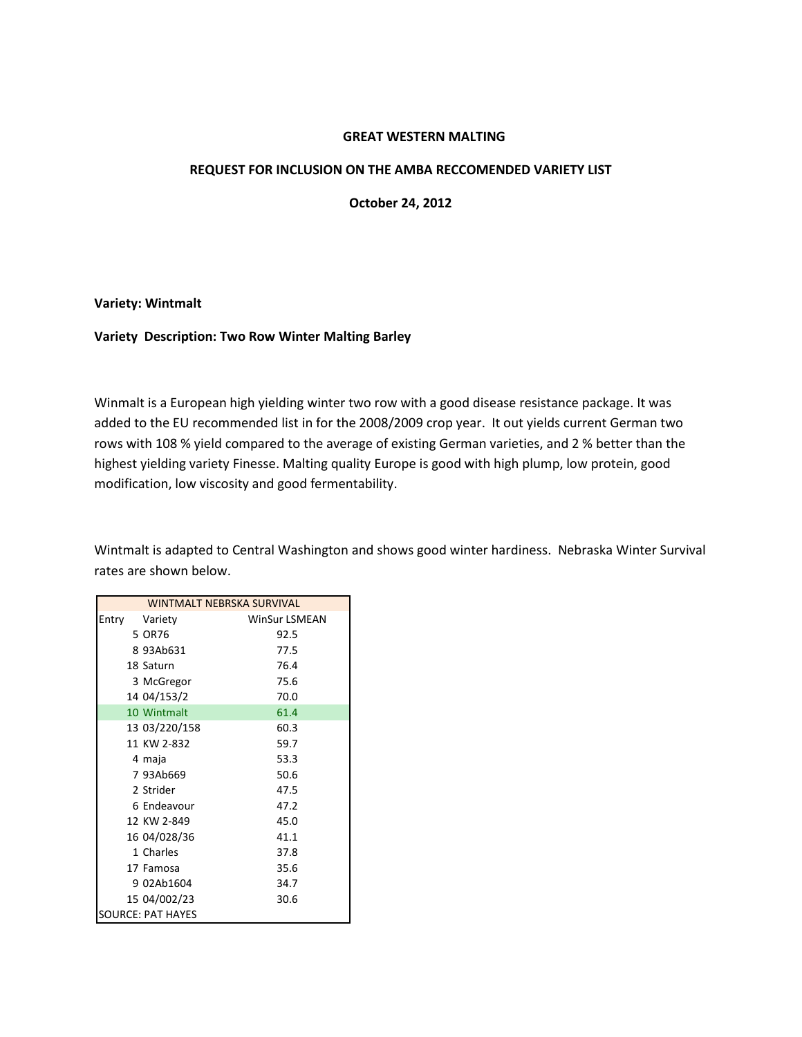# **GREAT WESTERN MALTING**

### **REQUEST FOR INCLUSION ON THE AMBA RECCOMENDED VARIETY LIST**

**October 24, 2012**

#### **Variety: Wintmalt**

### **Variety Description: Two Row Winter Malting Barley**

Winmalt is a European high yielding winter two row with a good disease resistance package. It was added to the EU recommended list in for the 2008/2009 crop year. It out yields current German two rows with 108 % yield compared to the average of existing German varieties, and 2 % better than the highest yielding variety Finesse. Malting quality Europe is good with high plump, low protein, good modification, low viscosity and good fermentability.

Wintmalt is adapted to Central Washington and shows good winter hardiness. Nebraska Winter Survival rates are shown below.

|       |                   | <b>WINTMALT NEBRSKA SURVIVAL</b> |
|-------|-------------------|----------------------------------|
| Entry | Variety           | <b>WinSur LSMEAN</b>             |
|       | 5 OR76            | 92.5                             |
|       | 893Ab631          | 77.5                             |
|       | 18 Saturn         | 76.4                             |
|       | 3 McGregor        | 75.6                             |
|       | 14 04/153/2       | 70.0                             |
|       | 10 Wintmalt       | 61.4                             |
|       | 13 03/220/158     | 60.3                             |
|       | 11 KW 2-832       | 59.7                             |
|       | 4 maja            | 53.3                             |
|       | 7 93Ab669         | 50.6                             |
|       | 2 Strider         | 47.5                             |
|       | 6 Endeavour       | 47.2                             |
|       | 12 KW 2-849       | 45.0                             |
|       | 16 04/028/36      | 41.1                             |
|       | 1 Charles         | 37.8                             |
|       | 17 Famosa         | 35.6                             |
|       | 9 02Ab1604        | 34.7                             |
|       | 15 04/002/23      | 30.6                             |
|       | SOURCE: PAT HAYES |                                  |